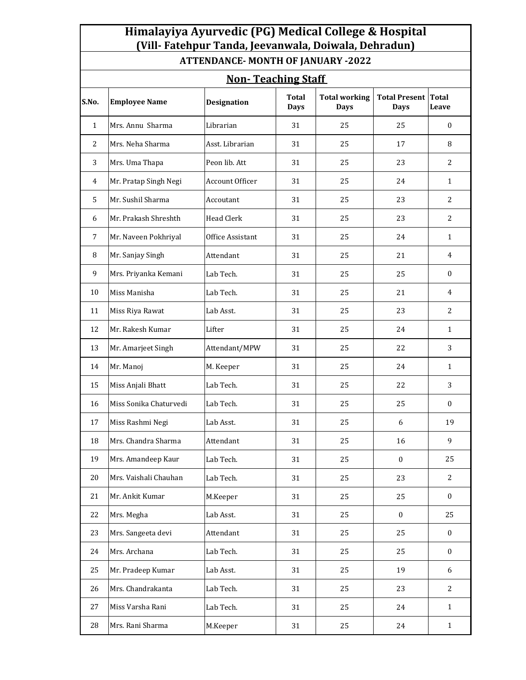| Himalayiya Ayurvedic (PG) Medical College & Hospital |  |
|------------------------------------------------------|--|
| (Vill-Fatehpur Tanda, Jeevanwala, Doiwala, Dehradun) |  |

**ATTENDANCE- MONTH OF JANUARY -2022** 

| <b>Non-Teaching Staff</b> |                        |                    |                             |                                     |                                     |                       |  |  |
|---------------------------|------------------------|--------------------|-----------------------------|-------------------------------------|-------------------------------------|-----------------------|--|--|
| S.No.                     | <b>Employee Name</b>   | <b>Designation</b> | <b>Total</b><br><b>Days</b> | <b>Total working</b><br><b>Days</b> | <b>Total Present</b><br><b>Days</b> | <b>Total</b><br>Leave |  |  |
| $\mathbf{1}$              | Mrs. Annu Sharma       | Librarian          | 31                          | 25                                  | 25                                  | $\mathbf{0}$          |  |  |
| $\overline{2}$            | Mrs. Neha Sharma       | Asst. Librarian    | 31                          | 25                                  | 17                                  | 8                     |  |  |
| 3                         | Mrs. Uma Thapa         | Peon lib. Att      | 31                          | 25                                  | 23                                  | 2                     |  |  |
| 4                         | Mr. Pratap Singh Negi  | Account Officer    | 31                          | 25                                  | 24                                  | $\mathbf{1}$          |  |  |
| 5                         | Mr. Sushil Sharma      | Accoutant          | 31                          | 25                                  | 23                                  | $\overline{2}$        |  |  |
| 6                         | Mr. Prakash Shreshth   | <b>Head Clerk</b>  | 31                          | 25                                  | 23                                  | $\overline{2}$        |  |  |
| 7                         | Mr. Naveen Pokhriyal   | Office Assistant   | 31                          | 25                                  | 24                                  | $\mathbf{1}$          |  |  |
| 8                         | Mr. Sanjay Singh       | Attendant          | 31                          | 25                                  | 21                                  | $\overline{4}$        |  |  |
| 9                         | Mrs. Priyanka Kemani   | Lab Tech.          | 31                          | 25                                  | 25                                  | $\mathbf{0}$          |  |  |
| 10                        | Miss Manisha           | Lab Tech.          | 31                          | 25                                  | 21                                  | 4                     |  |  |
| 11                        | Miss Riya Rawat        | Lab Asst.          | 31                          | 25                                  | 23                                  | $\overline{2}$        |  |  |
| 12                        | Mr. Rakesh Kumar       | Lifter             | 31                          | 25                                  | 24                                  | $\mathbf{1}$          |  |  |
| 13                        | Mr. Amarjeet Singh     | Attendant/MPW      | 31                          | 25                                  | 22                                  | 3                     |  |  |
| 14                        | Mr. Manoj              | M. Keeper          | 31                          | 25                                  | 24                                  | $\mathbf{1}$          |  |  |
| 15                        | Miss Anjali Bhatt      | Lab Tech.          | 31                          | 25                                  | 22                                  | 3                     |  |  |
| 16                        | Miss Sonika Chaturvedi | Lab Tech.          | 31                          | 25                                  | 25                                  | $\mathbf{0}$          |  |  |
| 17                        | Miss Rashmi Negi       | Lab Asst.          | 31                          | 25                                  | 6                                   | 19                    |  |  |
| 18                        | Mrs. Chandra Sharma    | Attendant          | 31                          | 25                                  | 16                                  | 9                     |  |  |
| 19                        | Mrs. Amandeep Kaur     | Lab Tech.          | 31                          | 25                                  | $\boldsymbol{0}$                    | 25                    |  |  |
| 20                        | Mrs. Vaishali Chauhan  | Lab Tech.          | 31                          | 25                                  | 23                                  | 2                     |  |  |
| 21                        | Mr. Ankit Kumar        | M.Keeper           | 31                          | 25                                  | 25                                  | $\bf{0}$              |  |  |
| 22                        | Mrs. Megha             | Lab Asst.          | 31                          | 25                                  | $\boldsymbol{0}$                    | 25                    |  |  |
| 23                        | Mrs. Sangeeta devi     | Attendant          | 31                          | 25                                  | 25                                  | $\mathbf{0}$          |  |  |
| 24                        | Mrs. Archana           | Lab Tech.          | 31                          | 25                                  | 25                                  | $\mathbf{0}$          |  |  |
| 25                        | Mr. Pradeep Kumar      | Lab Asst.          | 31                          | 25                                  | 19                                  | 6                     |  |  |
| 26                        | Mrs. Chandrakanta      | Lab Tech.          | 31                          | 25                                  | 23                                  | $\overline{c}$        |  |  |
| 27                        | Miss Varsha Rani       | Lab Tech.          | 31                          | 25                                  | 24                                  | $\mathbf{1}$          |  |  |
| 28                        | Mrs. Rani Sharma       | M.Keeper           | 31                          | 25                                  | 24                                  | $\mathbf{1}$          |  |  |